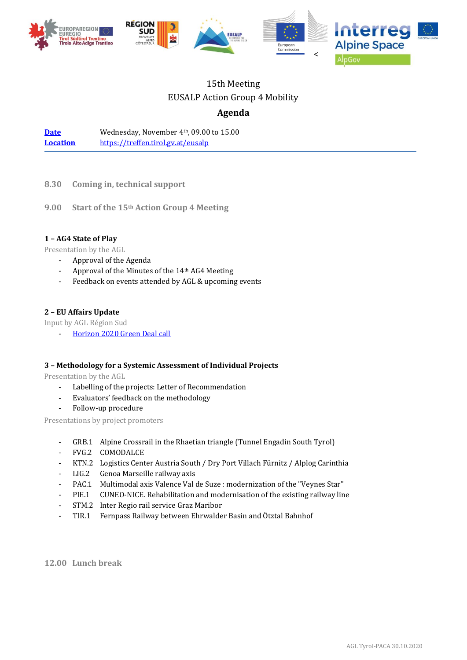

# 15th Meeting EUSALP Action Group 4 Mobility

# **Agenda**

[Date](https://www.alpine-region.eu/events/ag4-13th-action-group-meeting) Wednesday, November 4<sup>th</sup>, 09.00 to 15.00 **[Location](https://goo.gl/maps/J7PivPeTMN7NDAFQA)** <https://treffen.tirol.gv.at/eusalp>

- **8.30 Coming in, technical support**
- **9.00 Start of the 15th Action Group 4 Meeting**

# **1 – AG4 State of Play**

Presentation by the AGL

- Approval of the Agenda
- Approval of the Minutes of the 14<sup>th</sup> AG4 Meeting
- Feedback on events attended by AGL & upcoming events

# **2 – EU Affairs Update**

Input by AGL Région Sud

[Horizon 2020](https://ec.europa.eu/commission/presscorner/detail/en/ip_20_1669) Green Deal call

# **3 – Methodology for a Systemic Assessment of Individual Projects**

Presentation by the AGL

- Labelling of the projects: Letter of Recommendation
- Evaluators' feedback on the methodology
- Follow-up procedure

Presentations by project promoters

- GRB.1 Alpine Crossrail in the Rhaetian triangle (Tunnel Engadin South Tyrol)
- FVG.2 COMODALCE
- KTN.2 Logistics Center Austria South / Dry Port Villach Fürnitz / Alplog Carinthia
- LIG.2 Genoa Marseille railway axis
- PAC.1 Multimodal axis Valence Val de Suze : modernization of the "Veynes Star"
- PIE.1 CUNEO-NICE. Rehabilitation and modernisation of the existing railway line
- STM.2 Inter Regio rail service Graz Maribor
- TIR.1 Fernpass Railway between Ehrwalder Basin and Ötztal Bahnhof

**12.00 Lunch break**